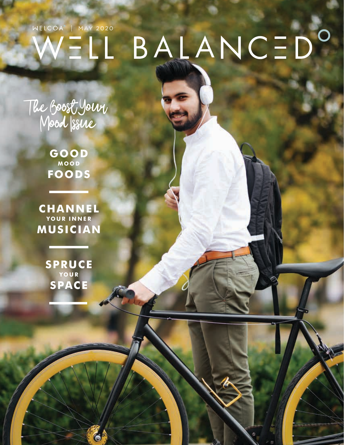## BALANCED<sup>O</sup> WELCOA<sup>\*</sup> | MAY 2020 VELL

The Boost Your Mood Issue

> **GOOD MOOD FOODS**

**CHANNEL YOUR INNER MUSICIAN**

> **SPRUCE YOUR SPACE**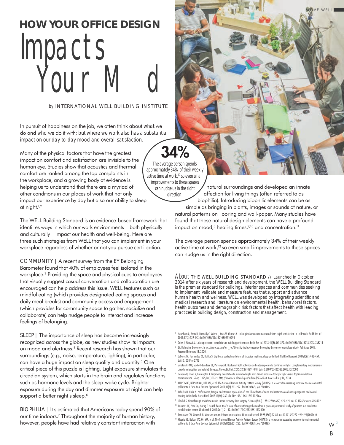# Impacts Your M d **HOW YOUR OFFICE DESIGN**

#### *by* INTERNATIONAL WELL BUILDING INSTITUTE

In pursuit of happiness on the job, we often think about *what* we do and *who* we do it with; *but where we work also has a substantial impact on our day-to-day mood and overall satisfaction*.

Many of the physical factors that have the greatest impact on comfort and satisfaction are invisible to the human eye. Studies show that acoustics and thermal comfort are ranked among the top complaints in the workplace, and a growing body of evidence is helping us to understand that there are a myriad of other conditions in our places of work that not only impact our experience by day but also our ability to sleep at night.1,2

The WELL Building Standard is an evidence-based framework that identies ways in which our work environments both physically and culturally impact our health and well-being. Here are three such strategies from WELL that you can implement in your workplace regardless of whether or not you pursue certi cation.

COMMUNITY | A recent survey from the EY Belonging Barometer found that 40% of employees feel isolated in the workplace.3 Providing the space and physical cues to employees that visually suggest casual conversation and collaboration are encouraged can help address this issue. WELL features such as mindful eating (which provides designated eating spaces and daily meal breaks) and community access and engagement (which provides for community space to gather, socialize and collaborate) can help nudge people to interact and increase feelings of belonging.

SLEEP | The importance of sleep has become increasingly recognized across the globe, as new studies show its impacts on mood and alertness.4 Recent research has shown that our surroundings (e.g., noise, temperature, lighting), in particular, can have a huge impact on sleep quality and quantity.5 One critical piece of this puzzle is lighting. Light exposure stimulates the circadian system, which starts in the brain and regulates functions such as hormone levels and the sleep-wake cycle. Brighter exposure during the day and dimmer exposure at night can help support a better night s sleep.<sup>6</sup>

BIOPHILIA | It s estimated that Americans today spend 90% of our time indoors.7 Throughout the majority of human history, however, people have had relatively constant interaction with

natural surroundings and developed an innate affection for living things (often referred to as biophilia). Introducing biophilic elements can be as simple as bringing in plants, images or sounds of nature, or natural patterns on ooring and wall-paper. Many studies have found that these natural design elements can have a profound impact on mood, $8$  healing times, $9,10$  and concentration.<sup>11</sup>

The average person spends approximately 34% of their weekly active time at work,<sup>12</sup> so even small improvements to these spaces can nudge us in the right direction.

About THE WELL BUILDING STANDARD // Launched in October 2014 after six years of research and development, the WELL Building Standard is the premier standard for buildings, interior spaces and communities seeking to implement, validate and measure features that support and advance human health and wellness. WELL was developed by integrating scientific and medical research and literature on environmental health, behavioral factors, health outcomes and demographic risk factors that affect health with leading practices in building design, construction and management.

- <sup>1</sup> Newsham G, Brand J, Donnelly C, Veitch J, Aries M, Charles K. Linking indoor environment conditions to job satisfaction: a eld study. Build Res Inf. 2009;37(2):129-147. doi:10.1080/09613210802710298
- <sup>2</sup> Goins J, Moezzi M. Linking occupant complaints to building performance. Build Res Inf. 2013;41(3):361-372. doi:10.1080/09613218.2013.763714  $^3$   $\,$  EY. Belonging Barometer. https://www.ey.com/en  $\_$  us/diversity-inclusiveness/ey-belonging-barometer-workplace-study. Published 2019. Accessed February 18, 2020.
- <sup>4</sup> LeGates TA, Fernandez DC, Hattar S. Light as a central modulator of circadian rhythms, sleep and affect. Nat Rev Neurosci. 2014;15(7):443-454. doi:10.1038/nrn3743
- <sup>5</sup> Smolensky MH, Sackett-Lundeen LL, Portaluppi F. Nocturnal light pollution and underexposure to daytime sunlight: Complementary mechanisms of circadian disruption and related diseases. Chronobiol Int. 2015;32(8):1029-1048. doi:10.3109/07420528.2015.1072002
- <sup>6</sup> Dawson D, Encel N, Lushington K. Improving adaptation to simulated night shift: timed exposure to bright light versus daytime melatonin administration. Sleep. 1995;18(1):11-21. http://www.ncbi.nlm.nih.gov/pubmed/7761738. Accessed July 16, 2018.
- <sup>7</sup> KLEPEIS NE, NELSON WC, OTT WR, et al. The National Human Activity Pattern Survey (NHAPS): a resource for assessing exposure to environmental pollutants. J Expo Anal Environ Epidemiol. 2001;11(3):231-252. doi:10.1038/sj.jea.7500165
- 8 Jahncke H, Halin N. Performance, fatigue and stress in open-plan of ces: The effects of noise and restoration on hearing impaired and normal hearing individuals. Noise Heal. 2012;14(60):260. doi:10.4103/1463-1741.102966
- 9 Ulrich RS. View through a window may in uence recovery from surgery. Science (80-). 1984;224(4647):420-421. doi:10.1126/science.6143402 10 Raanaas RK, Patil GG, Hartig T. Health bene ts of a view of nature through the window: a quasi-experimental study of patients in a residential
- rehabilitation center. Clin Rehabil. 2012;26(1):21-32. doi:10.1177/0269215511412800
- 11 Tennessen CM, Cimprich B. Views to nature: Effects on attention. J Environ Psychol. 1995;15(1):77-85. doi:10.1016/0272-4944(95)90016-0 <sup>12</sup> Klepeis NE, Nelson WC, Ott WR, et al. The National Human Activity Pattern Survey (NHAPS): a resource for assessing exposure to environmental pollutants. J Expo Anal Environ Epidemiol. 2001;11(3):231-252. doi:10.1038/sj.jea.7500165